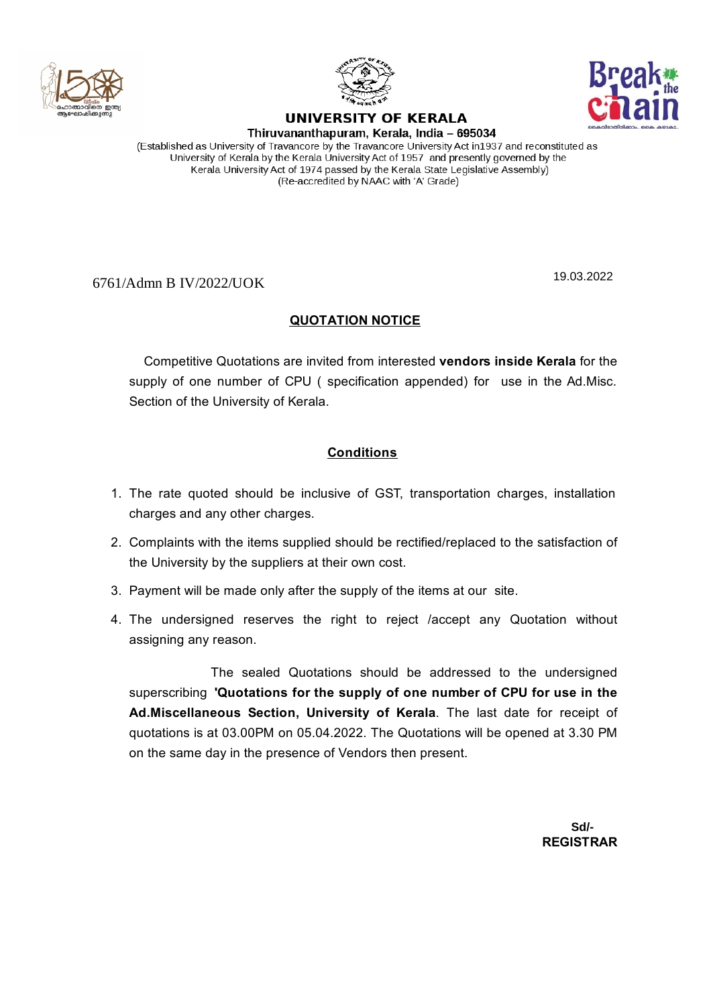



## UNIVERSITY OF KERALA



Thiruvananthapuram, Kerala, India - 695034 (Established as University of Travancore by the Travancore University Act in1937 and reconstituted as University of Kerala by the Kerala University Act of 1957 and presently governed by the Kerala University Act of 1974 passed by the Kerala State Legislative Assembly) (Re-accredited by NAAC with 'A' Grade)

6761/Admn B IV/2022/UOK

19.03.2022

## **QUOTATION NOTICE**

Competitive Quotations are invited from interested **vendors inside Kerala** for the supply of one number of CPU ( specification appended) for use in the Ad.Misc. Section of the University of Kerala.

## **Conditions**

- 1. The rate quoted should be inclusive of GST, transportation charges, installation charges and any other charges.
- 2. Complaints with the items supplied should be rectified/replaced to the satisfaction of the University by the suppliers at their own cost.
- 3. Payment will be made only after the supply of the items at our site.
- 4. The undersigned reserves the right to reject /accept any Quotation without assigning any reason.

The sealed Quotations should be addressed to the undersigned superscribing **'Quotations for the supply of one number of CPU for use in the Ad.Miscellaneous Section, University of Kerala**. The last date for receipt of quotations is at 03.00PM on 05.04.2022. The Quotations will be opened at 3.30 PM on the same day in the presence of Vendors then present.

> **REGISTRAR Sd/-**